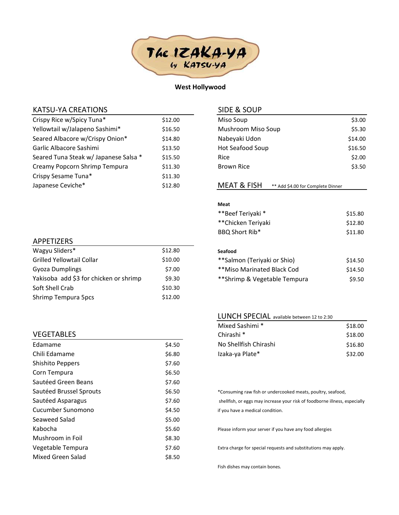

## West Hollywood

## KATSU-YA CREATIONS

| Crispy Rice w/Spicy Tuna*             | \$12.00 |
|---------------------------------------|---------|
| Yellowtail w/Jalapeno Sashimi*        | \$16.50 |
| Seared Albacore w/Crispy Onion*       | \$14.80 |
| Garlic Albacore Sashimi               | \$13.50 |
| Seared Tuna Steak w/ Japanese Salsa * | \$15.50 |
| Creamy Popcorn Shrimp Tempura         | \$11.30 |
| Crispy Sesame Tuna*                   | \$11.30 |
| Japanese Ceviche*                     | \$12.80 |

### APPETIZERS

| Wagyu Sliders*                         | \$12.80 |
|----------------------------------------|---------|
| Grilled Yellowtail Collar              | \$10.00 |
| Gyoza Dumplings                        | \$7.00  |
| Yakisoba add \$3 for chicken or shrimp | \$9.30  |
| Soft Shell Crab                        | \$10.30 |
| Shrimp Tempura 5pcs                    | \$12.00 |

### VEGETABLES

| Edamame                 | \$4.50 |
|-------------------------|--------|
| Chili Edamame           | \$6.80 |
| <b>Shishito Peppers</b> | \$7.60 |
| Corn Tempura            | \$6.50 |
| Sautéed Green Beans     | \$7.60 |
| Sautéed Brussel Sprouts | \$6.50 |
| Sautéed Asparagus       | \$7.60 |
| Cucumber Sunomono       | \$4.50 |
| Seaweed Salad           | \$5.00 |
| Kabocha                 | \$5.60 |
| Mushroom in Foil        | \$8.30 |
| Vegetable Tempura       | \$7.60 |
| Mixed Green Salad       | \$8.50 |

#### SIDE & SOUP

| Miso Soup                                                   | \$3.00  |
|-------------------------------------------------------------|---------|
| Mushroom Miso Soup                                          | \$5.30  |
| Nabeyaki Udon                                               | \$14.00 |
| Hot Seafood Soup                                            | \$16.50 |
| Rice                                                        | \$2.00  |
| <b>Brown Rice</b>                                           | \$3.50  |
|                                                             |         |
| <b>MEAT &amp; FISH</b><br>** Add \$4.00 for Complete Dinner |         |
|                                                             |         |
| <b>Meat</b>                                                 |         |
| **Beef Teriyaki *                                           | \$15.80 |
| ** Chicken Teriyaki                                         | \$12.80 |
| BBQ Short Rib*                                              | \$11.80 |
|                                                             |         |
| Seafood                                                     |         |
| **Salmon (Teriyaki or Shio)                                 |         |
| **Miso Marinated Black Cod                                  |         |
| **Shrimp & Vegetable Tempura                                | \$9.50  |
|                                                             |         |

# LUNCH SPECIAL available between 12 to 2:30

| Mixed Sashimi *       | \$18.00 |
|-----------------------|---------|
| Chirashi <sup>*</sup> | \$18.00 |
| No Shellfish Chirashi | \$16.80 |
| Izaka-ya Plate*       | \$32.00 |

\*Consuming raw fish or undercooked meats, poultry, seafood, shellfish, or eggs may increase your risk of foodborne illness, especially if you have a medical condition.

Please inform your server if you have any food allergies

Extra charge for special requests and substitutions may apply.

Fish dishes may contain bones.